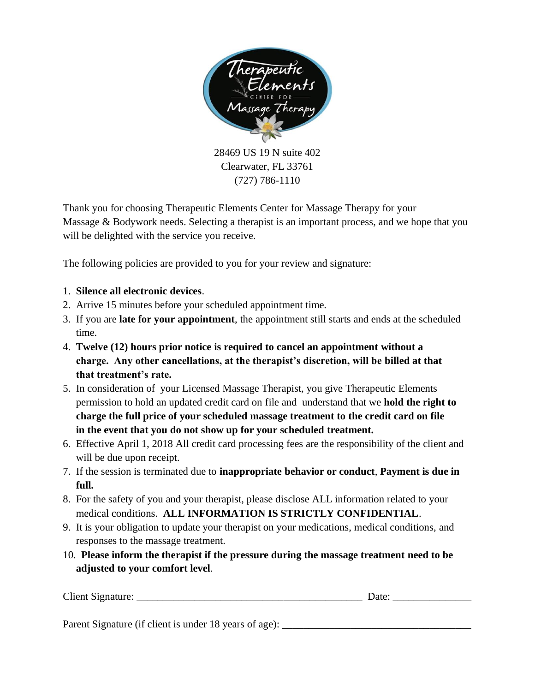

28469 US 19 N suite 402 Clearwater, FL 33761 (727) 786-1110

Thank you for choosing Therapeutic Elements Center for Massage Therapy for your Massage & Bodywork needs. Selecting a therapist is an important process, and we hope that you will be delighted with the service you receive.

The following policies are provided to you for your review and signature:

- 1. **Silence all electronic devices**.
- 2. Arrive 15 minutes before your scheduled appointment time.
- 3. If you are **late for your appointment**, the appointment still starts and ends at the scheduled time.
- 4. **Twelve (12) hours prior notice is required to cancel an appointment without a charge. Any other cancellations, at the therapist's discretion, will be billed at that that treatment's rate.**
- 5. In consideration of your Licensed Massage Therapist, you give Therapeutic Elements permission to hold an updated credit card on file and understand that we **hold the right to charge the full price of your scheduled massage treatment to the credit card on file in the event that you do not show up for your scheduled treatment.**
- 6. Effective April 1, 2018 All credit card processing fees are the responsibility of the client and will be due upon receipt.
- 7. If the session is terminated due to **inappropriate behavior or conduct**, **Payment is due in full.**
- 8. For the safety of you and your therapist, please disclose ALL information related to your medical conditions. **ALL INFORMATION IS STRICTLY CONFIDENTIAL**.
- 9. It is your obligation to update your therapist on your medications, medical conditions, and responses to the massage treatment.
- 10. **Please inform the therapist if the pressure during the massage treatment need to be adjusted to your comfort level**.

| Client Signature: | ак |
|-------------------|----|
|                   |    |

Parent Signature (if client is under 18 years of age): \_\_\_\_\_\_\_\_\_\_\_\_\_\_\_\_\_\_\_\_\_\_\_\_\_\_\_\_\_\_\_\_\_\_\_\_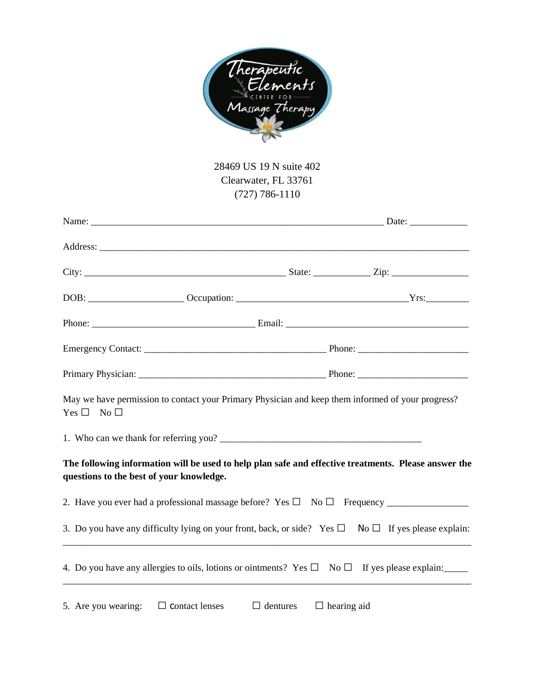

# 28469 US 19 N suite 402 Clearwater, FL 33761 (727) 786-1110

| May we have permission to contact your Primary Physician and keep them informed of your progress?<br>$Yes \bullet \qquad No \bullet$             |  |  |
|--------------------------------------------------------------------------------------------------------------------------------------------------|--|--|
|                                                                                                                                                  |  |  |
| The following information will be used to help plan safe and effective treatments. Please answer the<br>questions to the best of your knowledge. |  |  |
|                                                                                                                                                  |  |  |
| 3. Do you have any difficulty lying on your front, back, or side? Yes • No • If yes please explain:                                              |  |  |
| 4. Do you have any allergies to oils, lotions or ointments? Yes • No • If yes please explain:                                                    |  |  |
|                                                                                                                                                  |  |  |

5. Are you wearing: • contact lenses • dentures • hearing aid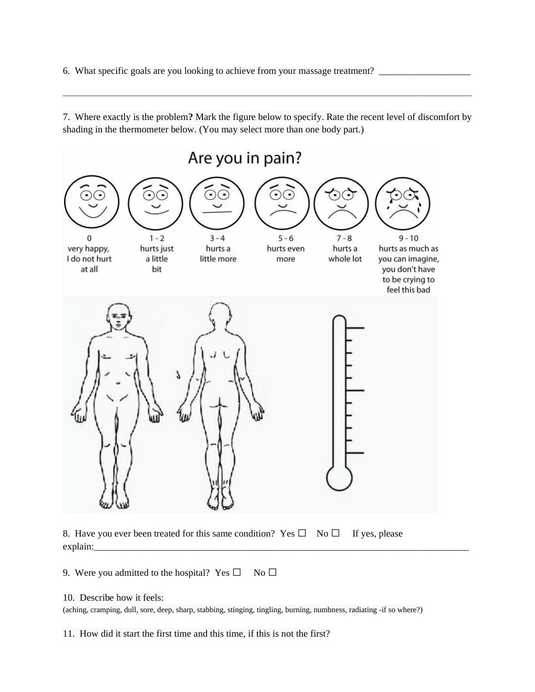6. What specific goals are you looking to achieve from your massage treatment? \_\_\_\_\_\_\_\_\_\_\_\_\_\_\_\_\_\_\_\_\_\_\_\_\_\_\_\_\_\_\_

7. Where exactly is the problem**?** Mark the figure below to specify. Rate the recent level of discomfort by shading in the thermometer below. (You may select more than one body part.)

 $\bot$  , and the state of the state of the state of the state of the state of the state of the state of the state of the state of the state of the state of the state of the state of the state of the state of the state of th





9. Were you admitted to the hospital? Yes $\bullet$  No  $\bullet$ 

### 10. Describe how it feels:

(aching, cramping, dull, sore, deep, sharp, stabbing, stinging, tingling, burning, numbness, radiating -if so where?)

11. How did it start the first time and this time, if this is not the first?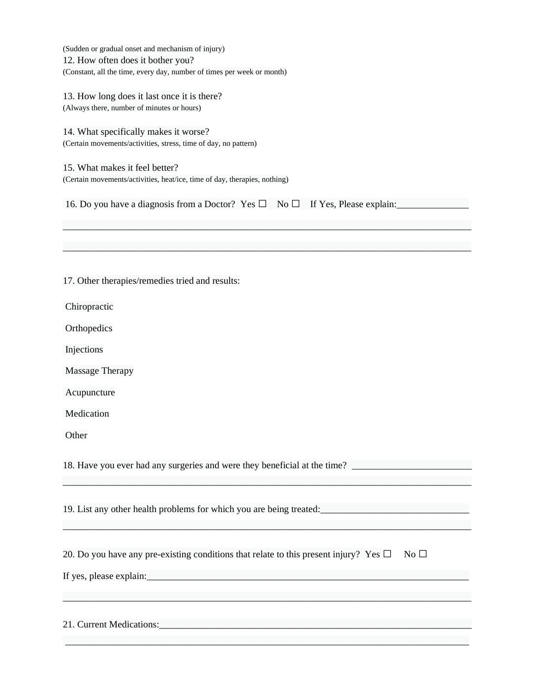|       | (Sudden or gradual onset and mechanism of injury)<br>12. How often does it bother you?                                                                                                                                         |
|-------|--------------------------------------------------------------------------------------------------------------------------------------------------------------------------------------------------------------------------------|
|       | (Constant, all the time, every day, number of times per week or month)                                                                                                                                                         |
|       | 13. How long does it last once it is there?                                                                                                                                                                                    |
|       | (Always there, number of minutes or hours)                                                                                                                                                                                     |
|       | 14. What specifically makes it worse?                                                                                                                                                                                          |
|       | (Certain movements/activities, stress, time of day, no pattern)                                                                                                                                                                |
|       | 15. What makes it feel better?                                                                                                                                                                                                 |
|       | (Certain movements/activities, heat/ice, time of day, therapies, nothing)                                                                                                                                                      |
|       | 16. Do you have a diagnosis from a Doctor? Yes .<br>If Yes, Please explain:<br>$No \bullet$                                                                                                                                    |
|       |                                                                                                                                                                                                                                |
|       | 17. Other therapies/remedies tried and results:                                                                                                                                                                                |
|       | Chiropractic                                                                                                                                                                                                                   |
|       | Orthopedics                                                                                                                                                                                                                    |
|       | Injections                                                                                                                                                                                                                     |
|       | Massage Therapy                                                                                                                                                                                                                |
|       | Acupuncture                                                                                                                                                                                                                    |
|       | Medication                                                                                                                                                                                                                     |
| Other |                                                                                                                                                                                                                                |
|       |                                                                                                                                                                                                                                |
|       | 19. List any other health problems for which you are being treated:                                                                                                                                                            |
|       | 20. Do you have any pre-existing conditions that relate to this present injury? Yes .<br>$No$ $\bullet$                                                                                                                        |
|       | and the control of the control of the control of the control of the control of the control of the control of the                                                                                                               |
|       |                                                                                                                                                                                                                                |
|       | 21. Current Medications: 2008. The material contract of the contract of the contract of the contract of the contract of the contract of the contract of the contract of the contract of the contract of the contract of the co |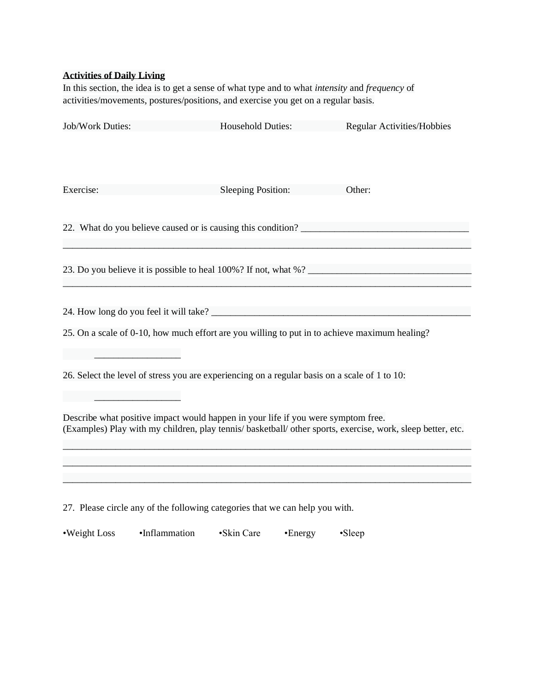# **Activities of Daily Living**

In this section, the idea is to get a sense of what type and to what *intensity* and *frequency* of activities/movements, postures/positions, and exercise you get on a regular basis.

| Job/Work Duties:                                                                                                                                                                                 | <b>Household Duties:</b>  | <b>Regular Activities/Hobbies</b> |  |  |  |  |  |
|--------------------------------------------------------------------------------------------------------------------------------------------------------------------------------------------------|---------------------------|-----------------------------------|--|--|--|--|--|
| Exercise:                                                                                                                                                                                        | <b>Sleeping Position:</b> | Other:                            |  |  |  |  |  |
|                                                                                                                                                                                                  |                           |                                   |  |  |  |  |  |
| 23. Do you believe it is possible to heal 100%? If not, what %?                                                                                                                                  |                           |                                   |  |  |  |  |  |
|                                                                                                                                                                                                  |                           |                                   |  |  |  |  |  |
| 25. On a scale of 0-10, how much effort are you willing to put in to achieve maximum healing?                                                                                                    |                           |                                   |  |  |  |  |  |
| 26. Select the level of stress you are experiencing on a regular basis on a scale of 1 to 10:                                                                                                    |                           |                                   |  |  |  |  |  |
| Describe what positive impact would happen in your life if you were symptom free.<br>(Examples) Play with my children, play tennis/ basketball/ other sports, exercise, work, sleep better, etc. |                           |                                   |  |  |  |  |  |
|                                                                                                                                                                                                  |                           |                                   |  |  |  |  |  |
|                                                                                                                                                                                                  |                           |                                   |  |  |  |  |  |
| 27. Please circle any of the following categories that we can help you with.                                                                                                                     |                           |                                   |  |  |  |  |  |

•Weight Loss •Inflammation •Skin Care •Energy •Sleep